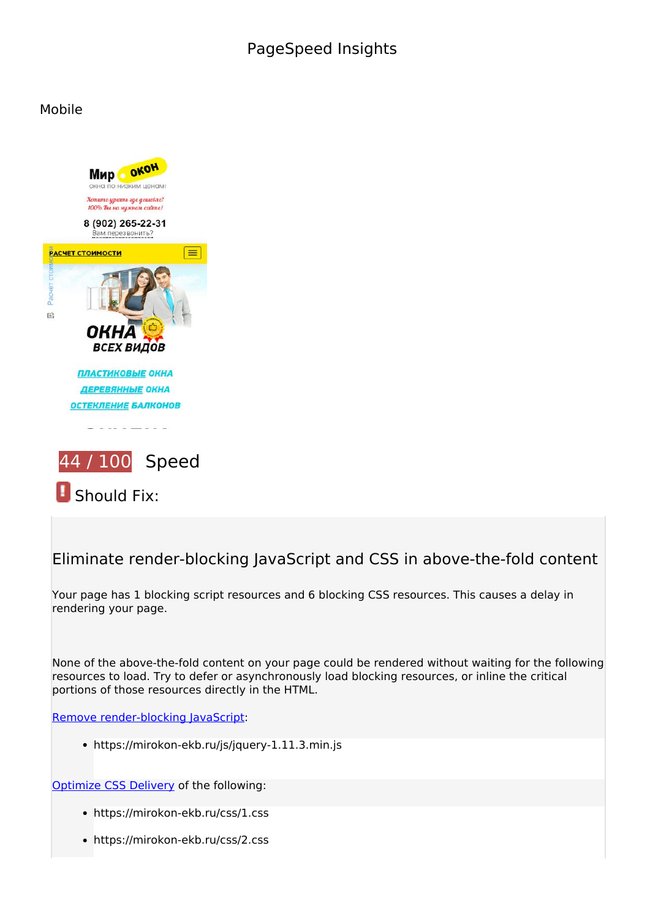# **PageSpeed Insights**

#### **Mobile**



*B* Should Fix:

## **Eliminate render-blocking JavaScript and CSS in above-the-fold content**

Your page has 1 blocking script resources and 6 blocking CSS resources. This causes a delay in rendering your page.

None of the above-the-fold content on your page could be rendered without waiting for the following resources to load. Try to defer or asynchronously load blocking resources, or inline the critical portions of those resources directly in the HTML.

[Remove render-blocking JavaScript](https://developers.google.com/speed/docs/insights/BlockingJS):

https://mirokon-ekb.ru/js/jquery-1.11.3.min.js

Optimize CSS Delivery of the following:

- https://mirokon-ekb.ru/css/1.css
- https://mirokon-ekb.ru/css/2.css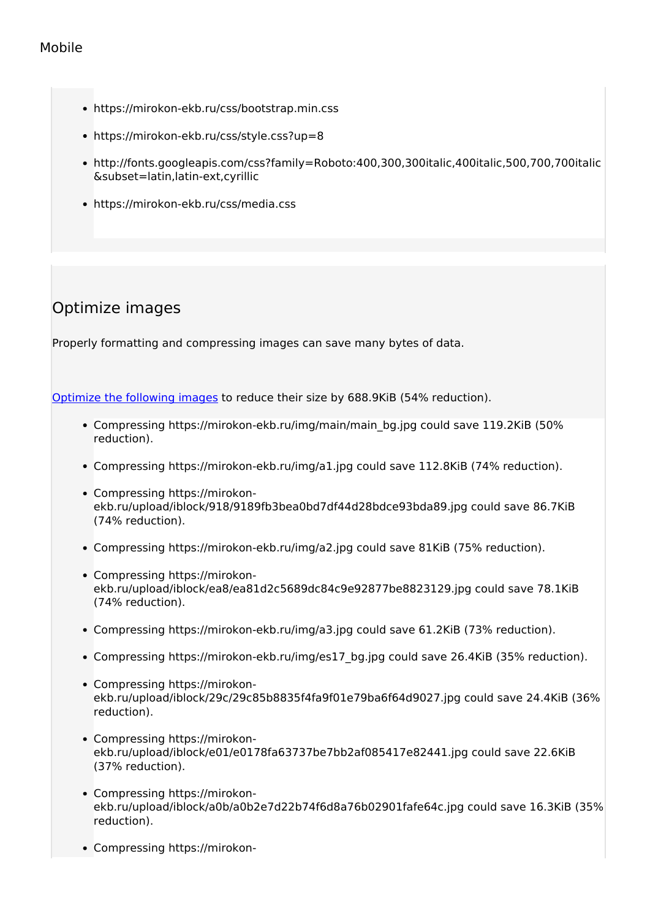- https://mirokon-ekb.ru/css/bootstrap.min.css
- https://mirokon-ekb.ru/css/style.css?up=8
- http://fonts.googleapis.com/css?family=Roboto:400,300,300italic,400italic,500,700,700italic &subset=latin,latin-ext,cyrillic
- https://mirokon-ekb.ru/css/media.css

# **Optimize images**

Properly formatting and compressing images can save many bytes of data.

Optimize the following images to reduce their size by 688.9KiB (54% reduction).

- Compressing https://mirokon-ekb.ru/img/main/main\_bg.jpg could save 119.2KiB (50% reduction).
- Compressing https://mirokon-ekb.ru/img/a1.jpg could save 112.8KiB (74% reduction).
- Compressing https://mirokonekb.ru/upload/iblock/918/9189fb3bea0bd7df44d28bdce93bda89.jpg could save 86.7KiB (74% reduction).
- Compressing https://mirokon-ekb.ru/img/a2.jpg could save 81KiB (75% reduction).
- Compressing https://mirokonekb.ru/upload/iblock/ea8/ea81d2c5689dc84c9e92877be8823129.jpg could save 78.1KiB (74% reduction).
- Compressing https://mirokon-ekb.ru/img/a3.jpg could save 61.2KiB (73% reduction).
- Compressing https://mirokon-ekb.ru/img/es17\_bg.jpg could save 26.4KiB (35% reduction).
- Compressing https://mirokonekb.ru/upload/iblock/29c/29c85b8835f4fa9f01e79ba6f64d9027.jpg could save 24.4KiB (36% reduction).
- Compressing https://mirokonekb.ru/upload/iblock/e01/e0178fa63737be7bb2af085417e82441.jpg could save 22.6KiB (37% reduction).
- Compressing https://mirokonekb.ru/upload/iblock/a0b/a0b2e7d22b74f6d8a76b02901fafe64c.jpg could save 16.3KiB (35% reduction).
- Compressing https://mirokon-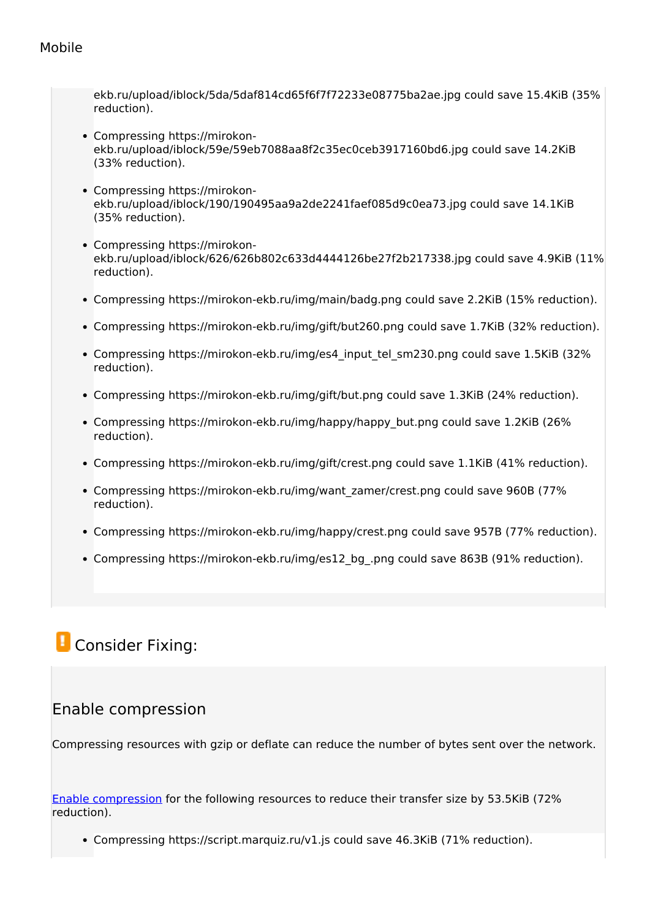ekb.ru/upload/iblock/5da/5daf814cd65f6f7f72233e08775ba2ae.jpg could save 15.4KiB (35% reduction).

- Compressing https://mirokonekb.ru/upload/iblock/59e/59eb7088aa8f2c35ec0ceb3917160bd6.jpg could save 14.2KiB (33% reduction).
- Compressing https://mirokonekb.ru/upload/iblock/190/190495aa9a2de2241faef085d9c0ea73.jpg could save 14.1KiB (35% reduction).
- Compressing https://mirokonekb.ru/upload/iblock/626/626b802c633d4444126be27f2b217338.jpg could save 4.9KiB (11% reduction).
- Compressing https://mirokon-ekb.ru/img/main/badg.png could save 2.2KiB (15% reduction).
- Compressing https://mirokon-ekb.ru/img/gift/but260.png could save 1.7KiB (32% reduction).
- Compressing https://mirokon-ekb.ru/img/es4\_input\_tel\_sm230.png could save 1.5KiB (32% reduction).
- Compressing https://mirokon-ekb.ru/img/gift/but.png could save 1.3KiB (24% reduction).
- Compressing https://mirokon-ekb.ru/img/happy/happy\_but.png could save 1.2KiB (26%) reduction).
- Compressing https://mirokon-ekb.ru/img/gift/crest.png could save 1.1KiB (41% reduction).
- Compressing https://mirokon-ekb.ru/img/want\_zamer/crest.png could save 960B (77% reduction).
- Compressing https://mirokon-ekb.ru/img/happy/crest.png could save 957B (77% reduction).
- Compressing https://mirokon-ekb.ru/img/es12\_bg\_.png could save 863B (91% reduction).

# *L* Consider Fixing:

## **Enable compression**

Compressing resources with gzip or deflate can reduce the number of bytes sent over the network.

Enable compression for the following resources to reduce their transfer size by 53.5KiB (72% reduction).

Compressing https://script.marquiz.ru/v1.js could save 46.3KiB (71% reduction).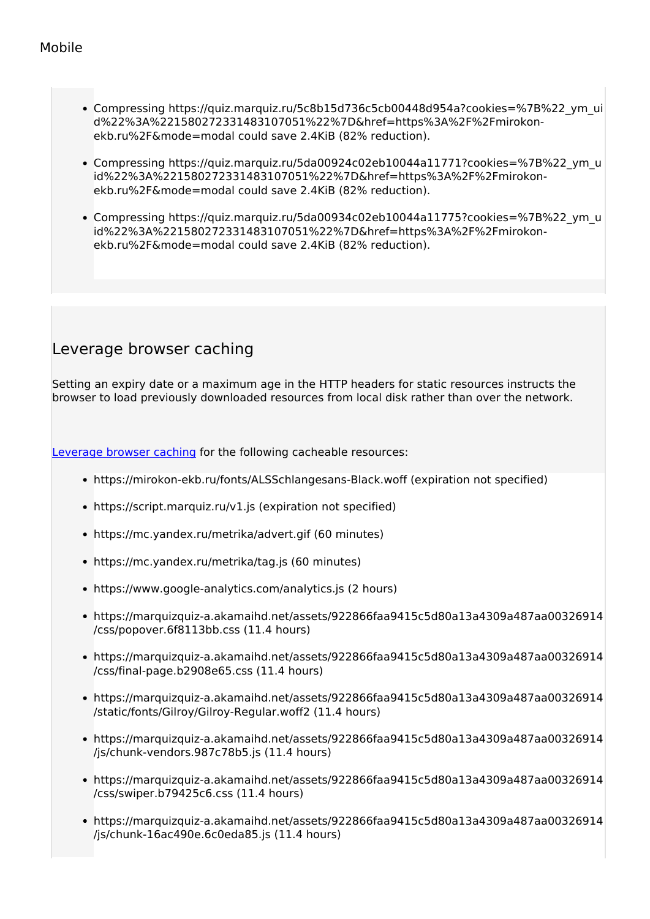- Compressing https://quiz.marquiz.ru/5c8b15d736c5cb00448d954a?cookies=%7B%22\_ym\_ui d%22%3A%221580272331483107051%22%7D&href=https%3A%2F%2Fmirokonekb.ru%2F&mode=modal could save 2.4KiB (82% reduction).
- Compressing https://quiz.marquiz.ru/5da00924c02eb10044a11771?cookies=%7B%22\_ym\_u id%22%3A%221580272331483107051%22%7D&href=https%3A%2F%2Fmirokonekb.ru%2F&mode=modal could save 2.4KiB (82% reduction).
- Compressing https://quiz.marquiz.ru/5da00934c02eb10044a11775?cookies=%7B%22\_ym\_u id%22%3A%221580272331483107051%22%7D&href=https%3A%2F%2Fmirokonekb.ru%2F&mode=modal could save 2.4KiB (82% reduction).

## **Leverage browser caching**

Setting an expiry date or a maximum age in the HTTP headers for static resources instructs the browser to load previously downloaded resources from local disk rather than over the network.

Leverage browser caching for the following cacheable resources:

- https://mirokon-ekb.ru/fonts/ALSSchlangesans-Black.woff (expiration not specified)
- https://script.marquiz.ru/v1.js (expiration not specified)
- https://mc.yandex.ru/metrika/advert.gif (60 minutes)
- https://mc.yandex.ru/metrika/tag.js (60 minutes)
- https://www.google-analytics.com/analytics.js (2 hours)
- https://marquizquiz-a.akamaihd.net/assets/922866faa9415c5d80a13a4309a487aa00326914 /css/popover.6f8113bb.css (11.4 hours)
- https://marquizquiz-a.akamaihd.net/assets/922866faa9415c5d80a13a4309a487aa00326914 /css/final-page.b2908e65.css (11.4 hours)
- https://marquizquiz-a.akamaihd.net/assets/922866faa9415c5d80a13a4309a487aa00326914 /static/fonts/Gilroy/Gilroy-Regular.woff2 (11.4 hours)
- https://marquizquiz-a.akamaihd.net/assets/922866faa9415c5d80a13a4309a487aa00326914 /js/chunk-vendors.987c78b5.js (11.4 hours)
- https://marquizquiz-a.akamaihd.net/assets/922866faa9415c5d80a13a4309a487aa00326914 /css/swiper.b79425c6.css (11.4 hours)
- https://marquizquiz-a.akamaihd.net/assets/922866faa9415c5d80a13a4309a487aa00326914 /js/chunk-16ac490e.6c0eda85.js (11.4 hours)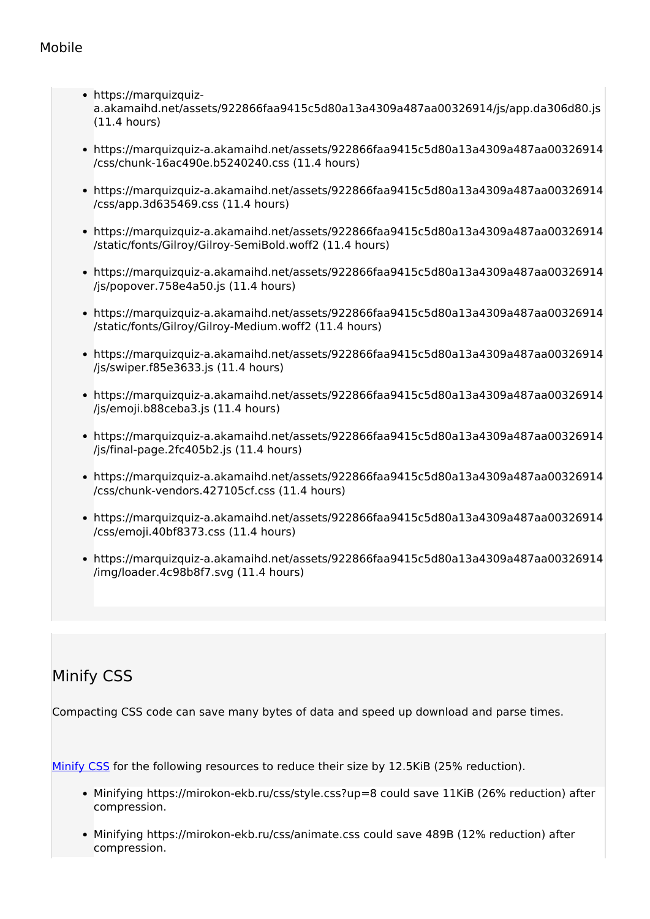- https://marquizquiza.akamaihd.net/assets/922866faa9415c5d80a13a4309a487aa00326914/js/app.da306d80.js (11.4 hours)
- https://marquizquiz-a.akamaihd.net/assets/922866faa9415c5d80a13a4309a487aa00326914 /css/chunk-16ac490e.b5240240.css (11.4 hours)
- https://marquizquiz-a.akamaihd.net/assets/922866faa9415c5d80a13a4309a487aa00326914 /css/app.3d635469.css (11.4 hours)
- https://marquizquiz-a.akamaihd.net/assets/922866faa9415c5d80a13a4309a487aa00326914 /static/fonts/Gilroy/Gilroy-SemiBold.woff2 (11.4 hours)
- https://marquizquiz-a.akamaihd.net/assets/922866faa9415c5d80a13a4309a487aa00326914 /js/popover.758e4a50.js (11.4 hours)
- https://marquizquiz-a.akamaihd.net/assets/922866faa9415c5d80a13a4309a487aa00326914 /static/fonts/Gilroy/Gilroy-Medium.woff2 (11.4 hours)
- https://marquizquiz-a.akamaihd.net/assets/922866faa9415c5d80a13a4309a487aa00326914 /js/swiper.f85e3633.js (11.4 hours)
- https://marquizquiz-a.akamaihd.net/assets/922866faa9415c5d80a13a4309a487aa00326914 /js/emoji.b88ceba3.js (11.4 hours)
- https://marquizquiz-a.akamaihd.net/assets/922866faa9415c5d80a13a4309a487aa00326914 /js/final-page.2fc405b2.js (11.4 hours)
- https://marquizquiz-a.akamaihd.net/assets/922866faa9415c5d80a13a4309a487aa00326914 /css/chunk-vendors.427105cf.css (11.4 hours)
- https://marquizquiz-a.akamaihd.net/assets/922866faa9415c5d80a13a4309a487aa00326914 /css/emoji.40bf8373.css (11.4 hours)
- https://marquizquiz-a.akamaihd.net/assets/922866faa9415c5d80a13a4309a487aa00326914 /img/loader.4c98b8f7.svg (11.4 hours)

# **Minify CSS**

Compacting CSS code can save many bytes of data and speed up download and parse times.

Minify CSS for the following resources to reduce their size by 12.5KiB (25% reduction).

- Minifying https://mirokon-ekb.ru/css/style.css?up=8 could save 11KiB (26% reduction) after compression.
- Minifying https://mirokon-ekb.ru/css/animate.css could save 489B (12% reduction) after compression.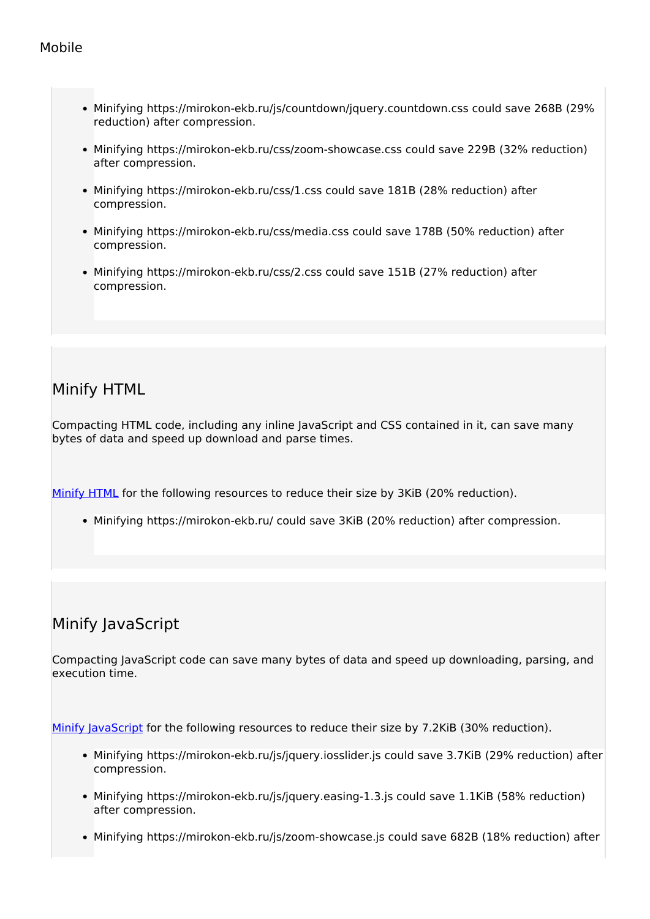- Minifying https://mirokon-ekb.ru/js/countdown/jquery.countdown.css could save 268B (29% reduction) after compression.
- Minifying https://mirokon-ekb.ru/css/zoom-showcase.css could save 229B (32% reduction) after compression.
- Minifying https://mirokon-ekb.ru/css/1.css could save 181B (28% reduction) after compression.
- Minifying https://mirokon-ekb.ru/css/media.css could save 178B (50% reduction) after compression.
- Minifying https://mirokon-ekb.ru/css/2.css could save 151B (27% reduction) after compression.

# **Minify HTML**

Compacting HTML code, including any inline JavaScript and CSS contained in it, can save many bytes of data and speed up download and parse times.

Minify HTML for the following resources to reduce their size by 3KiB (20% reduction).

Minifying https://mirokon-ekb.ru/ could save 3KiB (20% reduction) after compression.

# **Minify JavaScript**

Compacting JavaScript code can save many bytes of data and speed up downloading, parsing, and execution time.

Minify JavaScript for the following resources to reduce their size by 7.2KiB (30% reduction).

- Minifying https://mirokon-ekb.ru/js/jquery.iosslider.js could save 3.7KiB (29% reduction) after compression.
- Minifying https://mirokon-ekb.ru/js/jquery.easing-1.3.js could save 1.1KiB (58% reduction) after compression.
- Minifying https://mirokon-ekb.ru/js/zoom-showcase.js could save 682B (18% reduction) after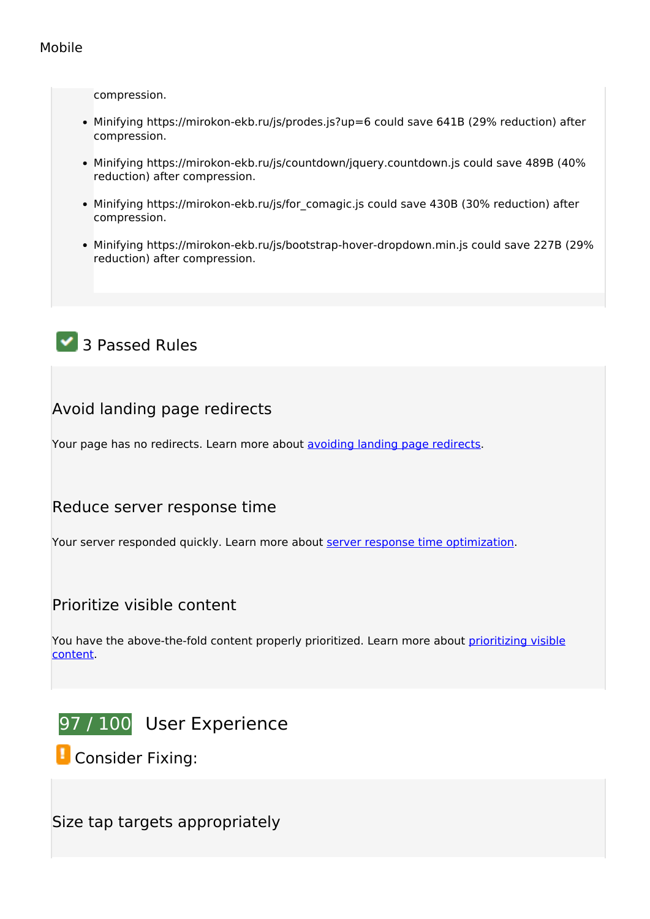compression.

- Minifying https://mirokon-ekb.ru/js/prodes.js?up=6 could save 641B (29% reduction) after compression.
- Minifying https://mirokon-ekb.ru/js/countdown/jquery.countdown.js could save 489B (40% reduction) after compression.
- Minifying https://mirokon-ekb.ru/js/for comagic.js could save 430B (30% reduction) after compression.
- Minifying https://mirokon-ekb.ru/js/bootstrap-hover-dropdown.min.js could save 227B (29% reduction) after compression.

# **3 Passed Rules**

## **Avoid landing page redirects**

Your page has no redirects. Learn more about avoiding landing page redirects.

## **Reduce server response time**

Your server responded quickly. Learn more about server response time optimization.

## **Prioritize visible content**

You have the above-the-fold content properly prioritized. Learn more about prioritizing visible content.



*E* Consider Fixing:

**Size tap targets appropriately**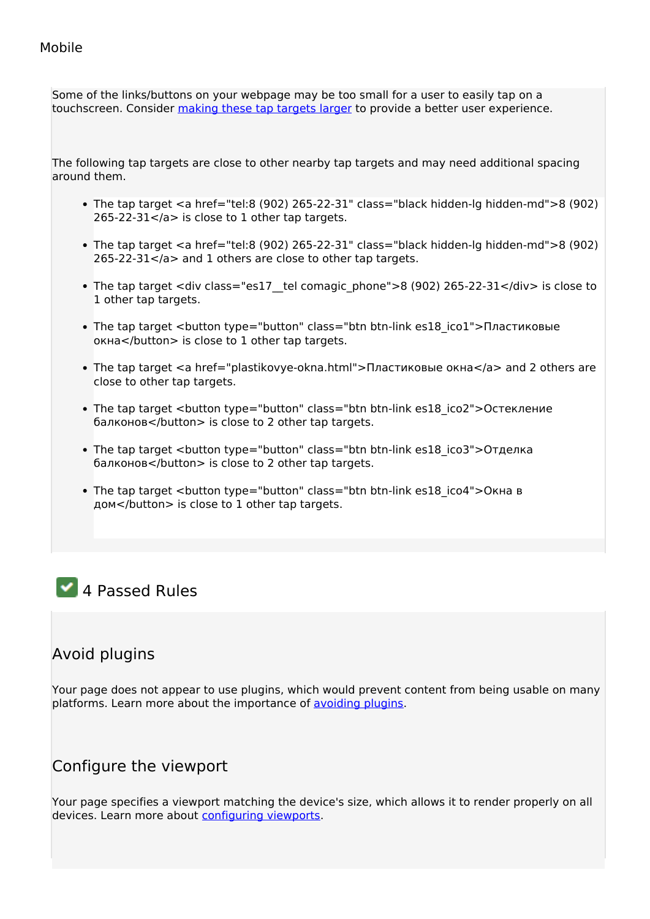Some of the links/buttons on your webpage may be too small for a user to easily tap on a touchscreen. Consider making these tap targets larger to provide a better user experience.

The following tap targets are close to other nearby tap targets and may need additional spacing around them.

- The tap target  $\leq a$  href="tel:8 (902) 265-22-31" class="black hidden-lg hidden-md">8 (902)  $265-22-31$  </a> is close to 1 other tap targets.
- The tap target <a href="tel:8 (902) 265-22-31" class="black hidden-lg hidden-md">8 (902) 265-22-31</a> and 1 others are close to other tap targets.
- The tap target <div class="es17 tel comagic phone">8 (902) 265-22-31</div> is close to 1 other tap targets.
- The tap target <button type="button" class="btn btn-link es18 ico1">Пластиковые окна</button> is close to 1 other tap targets.
- The tap target <a href="plastikovye-okna.html">Пластиковые окна</a> and 2 others are close to other tap targets.
- The tap target <button type="button" class="btn btn-link es18 ico2">Остекление балконов</button> is close to 2 other tap targets.
- The tap target <button type="button" class="btn btn-link es18 ico3">Отделка балконов</button> is close to 2 other tap targets.
- The tap target <button type="button" class="btn btn-link es18 ico4">Окна в дом</button> is close to 1 other tap targets.

# **4 Passed Rules**

## **Avoid plugins**

Your page does not appear to use plugins, which would prevent content from being usable on many platforms. Learn more about the importance of avoiding plugins.

## **Configure the viewport**

Your page specifies a viewport matching the device's size, which allows it to render properly on all devices. Learn more about configuring viewports.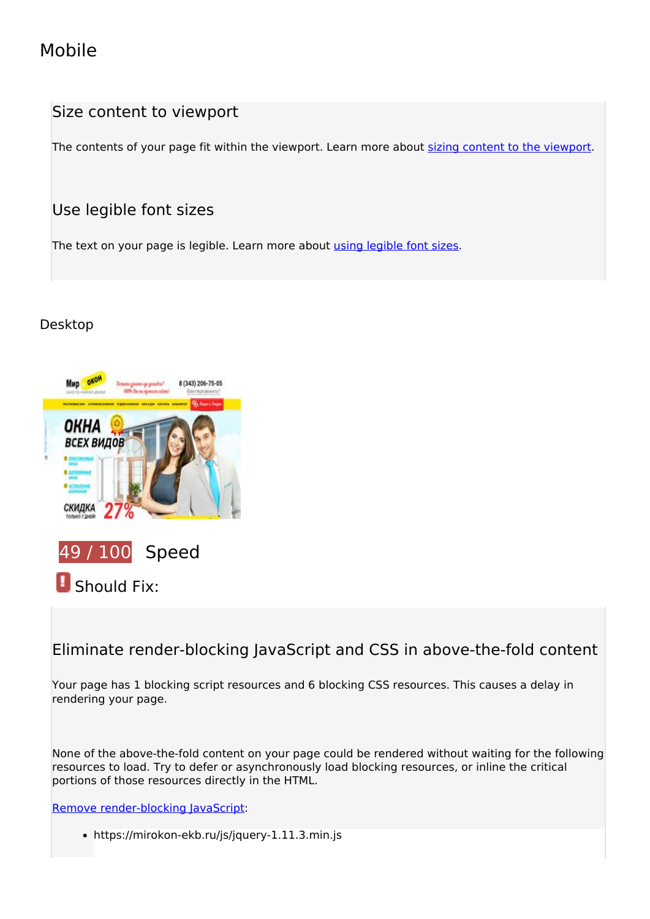## **Size content to viewport**

The contents of your page fit within the viewport. Learn more about sizing content to the viewport.

## **Use legible font sizes**

The text on your page is legible. Learn more about using legible font sizes.

## **Desktop**



# *B* Should Fix:

## **Eliminate render-blocking JavaScript and CSS in above-the-fold content**

Your page has 1 blocking script resources and 6 blocking CSS resources. This causes a delay in rendering your page.

None of the above-the-fold content on your page could be rendered without waiting for the following resources to load. Try to defer or asynchronously load blocking resources, or inline the critical portions of those resources directly in the HTML.

Remove render-blocking JavaScript:

https://mirokon-ekb.ru/js/jquery-1.11.3.min.js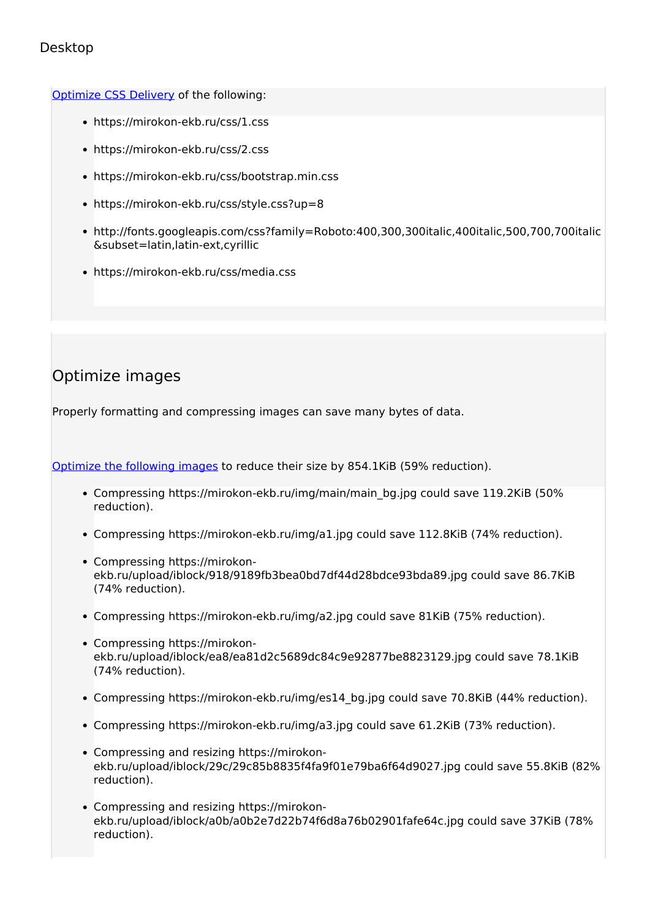#### Optimize CSS Delivery of the following:

- https://mirokon-ekb.ru/css/1.css
- https://mirokon-ekb.ru/css/2.css
- https://mirokon-ekb.ru/css/bootstrap.min.css
- https://mirokon-ekb.ru/css/style.css?up=8
- http://fonts.googleapis.com/css?family=Roboto:400,300,300italic,400italic,500,700,700italic &subset=latin,latin-ext,cyrillic
- https://mirokon-ekb.ru/css/media.css

# **Optimize images**

Properly formatting and compressing images can save many bytes of data.

Optimize the following images to reduce their size by 854.1KiB (59% reduction).

- Compressing https://mirokon-ekb.ru/img/main/main\_bg.jpg could save 119.2KiB (50%) reduction).
- Compressing https://mirokon-ekb.ru/img/a1.jpg could save 112.8KiB (74% reduction).
- Compressing https://mirokonekb.ru/upload/iblock/918/9189fb3bea0bd7df44d28bdce93bda89.jpg could save 86.7KiB (74% reduction).
- Compressing https://mirokon-ekb.ru/img/a2.jpg could save 81KiB (75% reduction).
- Compressing https://mirokonekb.ru/upload/iblock/ea8/ea81d2c5689dc84c9e92877be8823129.jpg could save 78.1KiB (74% reduction).
- Compressing https://mirokon-ekb.ru/img/es14\_bg.jpg could save 70.8KiB (44% reduction).
- Compressing https://mirokon-ekb.ru/img/a3.jpg could save 61.2KiB (73% reduction).
- Compressing and resizing https://mirokonekb.ru/upload/iblock/29c/29c85b8835f4fa9f01e79ba6f64d9027.jpg could save 55.8KiB (82% reduction).
- Compressing and resizing https://mirokonekb.ru/upload/iblock/a0b/a0b2e7d22b74f6d8a76b02901fafe64c.jpg could save 37KiB (78% reduction).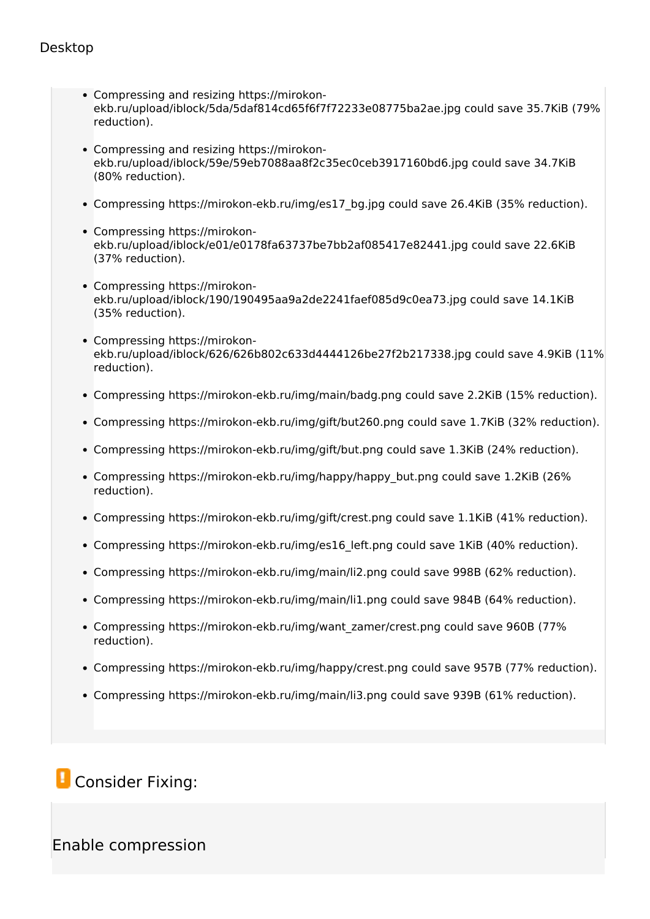- Compressing and resizing https://mirokonekb.ru/upload/iblock/5da/5daf814cd65f6f7f72233e08775ba2ae.jpg could save 35.7KiB (79% reduction).
- Compressing and resizing https://mirokonekb.ru/upload/iblock/59e/59eb7088aa8f2c35ec0ceb3917160bd6.jpg could save 34.7KiB (80% reduction).
- Compressing https://mirokon-ekb.ru/img/es17\_bg.jpg could save 26.4KiB (35% reduction).
- Compressing https://mirokonekb.ru/upload/iblock/e01/e0178fa63737be7bb2af085417e82441.jpg could save 22.6KiB (37% reduction).
- Compressing https://mirokonekb.ru/upload/iblock/190/190495aa9a2de2241faef085d9c0ea73.jpg could save 14.1KiB (35% reduction).
- Compressing https://mirokonekb.ru/upload/iblock/626/626b802c633d4444126be27f2b217338.jpg could save 4.9KiB (11% reduction).
- Compressing https://mirokon-ekb.ru/img/main/badg.png could save 2.2KiB (15% reduction).
- Compressing https://mirokon-ekb.ru/img/gift/but260.png could save 1.7KiB (32% reduction).
- Compressing https://mirokon-ekb.ru/img/gift/but.png could save 1.3KiB (24% reduction).
- Compressing https://mirokon-ekb.ru/img/happy/happy\_but.png could save 1.2KiB (26%) reduction).
- Compressing https://mirokon-ekb.ru/img/gift/crest.png could save 1.1KiB (41% reduction).
- Compressing https://mirokon-ekb.ru/img/es16\_left.png could save 1KiB (40% reduction).
- Compressing https://mirokon-ekb.ru/img/main/li2.png could save 998B (62% reduction).
- Compressing https://mirokon-ekb.ru/img/main/li1.png could save 984B (64% reduction).
- Compressing https://mirokon-ekb.ru/img/want\_zamer/crest.png could save 960B (77% reduction).
- Compressing https://mirokon-ekb.ru/img/happy/crest.png could save 957B (77% reduction).
- Compressing https://mirokon-ekb.ru/img/main/li3.png could save 939B (61% reduction).

# *L* Consider Fixing:

## **Enable compression**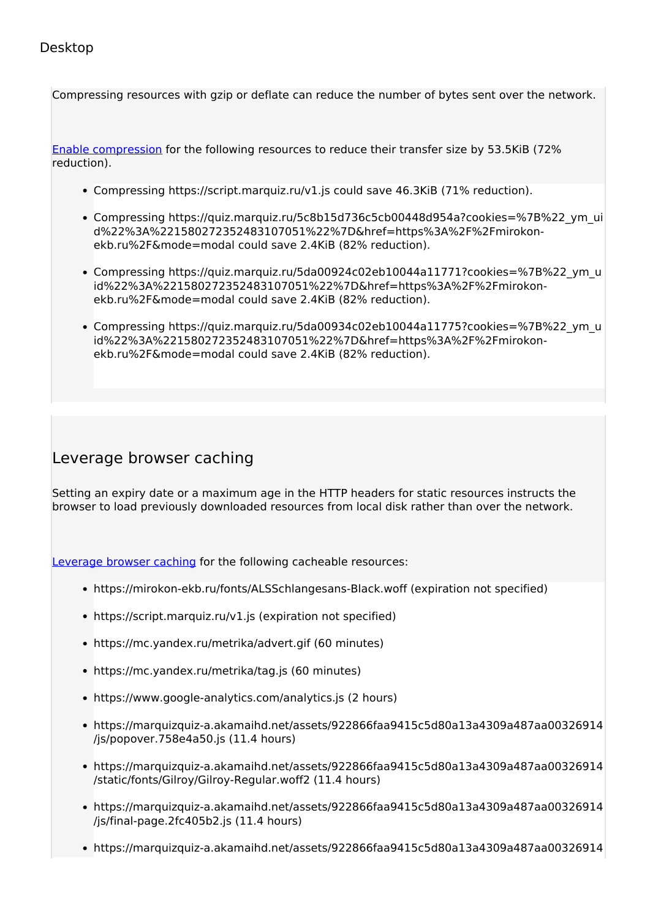Compressing resources with gzip or deflate can reduce the number of bytes sent over the network.

Enable compression for the following resources to reduce their transfer size by 53.5KiB (72% reduction).

- Compressing https://script.marquiz.ru/v1.js could save 46.3KiB (71% reduction).
- Compressing https://quiz.marquiz.ru/5c8b15d736c5cb00448d954a?cookies=%7B%22\_ym\_ui d%22%3A%221580272352483107051%22%7D&href=https%3A%2F%2Fmirokonekb.ru%2F&mode=modal could save 2.4KiB (82% reduction).
- Compressing https://quiz.marquiz.ru/5da00924c02eb10044a11771?cookies=%7B%22\_ym\_u id%22%3A%221580272352483107051%22%7D&href=https%3A%2F%2Fmirokonekb.ru%2F&mode=modal could save 2.4KiB (82% reduction).
- Compressing https://quiz.marquiz.ru/5da00934c02eb10044a11775?cookies=%7B%22\_ym\_u id%22%3A%221580272352483107051%22%7D&href=https%3A%2F%2Fmirokonekb.ru%2F&mode=modal could save 2.4KiB (82% reduction).

## **Leverage browser caching**

Setting an expiry date or a maximum age in the HTTP headers for static resources instructs the browser to load previously downloaded resources from local disk rather than over the network.

Leverage browser caching for the following cacheable resources:

- https://mirokon-ekb.ru/fonts/ALSSchlangesans-Black.woff (expiration not specified)
- https://script.marquiz.ru/v1.js (expiration not specified)
- https://mc.yandex.ru/metrika/advert.gif (60 minutes)
- https://mc.yandex.ru/metrika/tag.js (60 minutes)
- https://www.google-analytics.com/analytics.js (2 hours)
- https://marquizquiz-a.akamaihd.net/assets/922866faa9415c5d80a13a4309a487aa00326914 /js/popover.758e4a50.js (11.4 hours)
- https://marquizquiz-a.akamaihd.net/assets/922866faa9415c5d80a13a4309a487aa00326914 /static/fonts/Gilroy/Gilroy-Regular.woff2 (11.4 hours)
- https://marquizquiz-a.akamaihd.net/assets/922866faa9415c5d80a13a4309a487aa00326914 /js/final-page.2fc405b2.js (11.4 hours)
- https://marquizquiz-a.akamaihd.net/assets/922866faa9415c5d80a13a4309a487aa00326914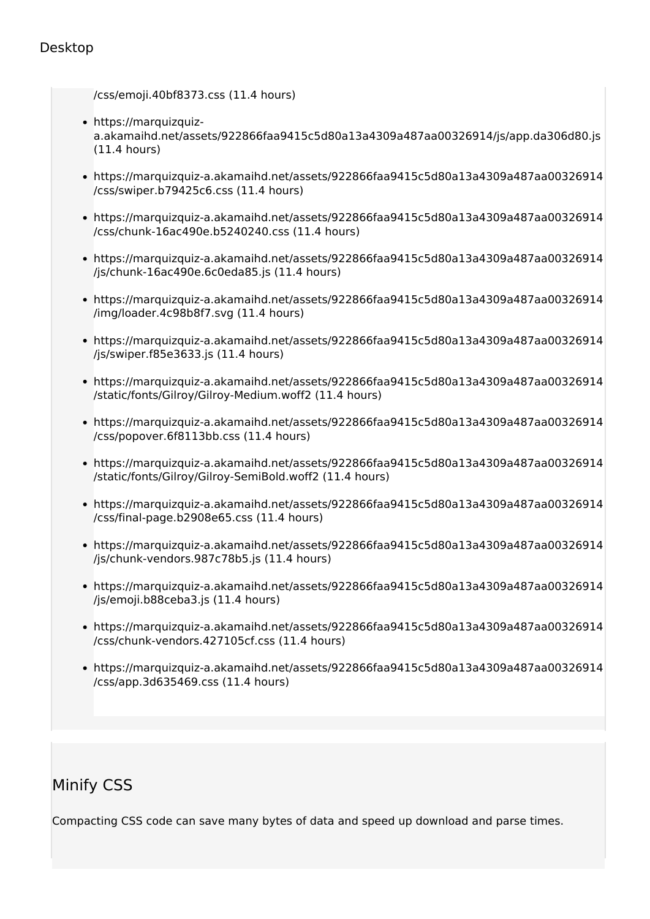/css/emoji.40bf8373.css (11.4 hours)

- https://marquizquiza.akamaihd.net/assets/922866faa9415c5d80a13a4309a487aa00326914/js/app.da306d80.js (11.4 hours)
- https://marquizquiz-a.akamaihd.net/assets/922866faa9415c5d80a13a4309a487aa00326914 /css/swiper.b79425c6.css (11.4 hours)
- https://marquizquiz-a.akamaihd.net/assets/922866faa9415c5d80a13a4309a487aa00326914 /css/chunk-16ac490e.b5240240.css (11.4 hours)
- https://marquizquiz-a.akamaihd.net/assets/922866faa9415c5d80a13a4309a487aa00326914 /js/chunk-16ac490e.6c0eda85.js (11.4 hours)
- https://marquizquiz-a.akamaihd.net/assets/922866faa9415c5d80a13a4309a487aa00326914 /img/loader.4c98b8f7.svg (11.4 hours)
- https://marquizquiz-a.akamaihd.net/assets/922866faa9415c5d80a13a4309a487aa00326914 /js/swiper.f85e3633.js (11.4 hours)
- https://marquizquiz-a.akamaihd.net/assets/922866faa9415c5d80a13a4309a487aa00326914 /static/fonts/Gilroy/Gilroy-Medium.woff2 (11.4 hours)
- https://marquizquiz-a.akamaihd.net/assets/922866faa9415c5d80a13a4309a487aa00326914 /css/popover.6f8113bb.css (11.4 hours)
- https://marquizquiz-a.akamaihd.net/assets/922866faa9415c5d80a13a4309a487aa00326914 /static/fonts/Gilroy/Gilroy-SemiBold.woff2 (11.4 hours)
- https://marquizquiz-a.akamaihd.net/assets/922866faa9415c5d80a13a4309a487aa00326914 /css/final-page.b2908e65.css (11.4 hours)
- https://marquizquiz-a.akamaihd.net/assets/922866faa9415c5d80a13a4309a487aa00326914 /js/chunk-vendors.987c78b5.js (11.4 hours)
- https://marquizquiz-a.akamaihd.net/assets/922866faa9415c5d80a13a4309a487aa00326914 /js/emoji.b88ceba3.js (11.4 hours)
- https://marquizquiz-a.akamaihd.net/assets/922866faa9415c5d80a13a4309a487aa00326914 /css/chunk-vendors.427105cf.css (11.4 hours)
- https://marquizquiz-a.akamaihd.net/assets/922866faa9415c5d80a13a4309a487aa00326914 /css/app.3d635469.css (11.4 hours)

## **Minify CSS**

Compacting CSS code can save many bytes of data and speed up download and parse times.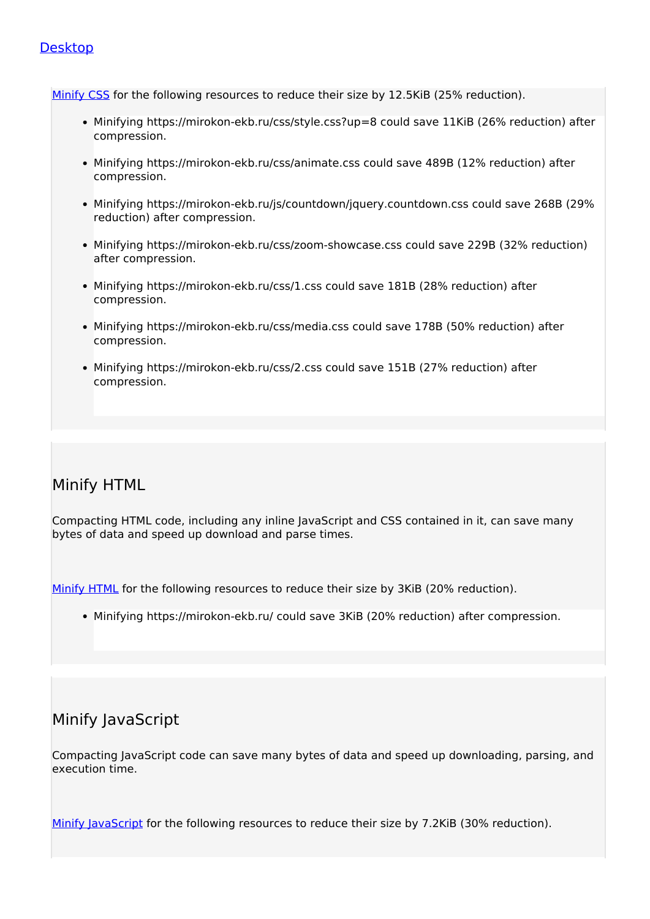Minify CSS for the following resources to reduce their size by 12.5KiB (25% reduction).

- Minifying https://mirokon-ekb.ru/css/style.css?up=8 could save 11KiB (26% reduction) after compression.
- Minifying https://mirokon-ekb.ru/css/animate.css could save 489B (12% reduction) after compression.
- Minifying https://mirokon-ekb.ru/js/countdown/jquery.countdown.css could save 268B (29%) reduction) after compression.
- Minifying https://mirokon-ekb.ru/css/zoom-showcase.css could save 229B (32% reduction) after compression.
- Minifying https://mirokon-ekb.ru/css/1.css could save 181B (28% reduction) after compression.
- Minifying https://mirokon-ekb.ru/css/media.css could save 178B (50% reduction) after compression.
- Minifying https://mirokon-ekb.ru/css/2.css could save 151B (27% reduction) after compression.

## **Minify HTML**

Compacting HTML code, including any inline JavaScript and CSS contained in it, can save many bytes of data and speed up download and parse times.

Minify HTML for the following resources to reduce their size by 3KiB (20% reduction).

• Minifying https://mirokon-ekb.ru/ could save 3KiB (20% reduction) after compression.

## **Minify JavaScript**

Compacting JavaScript code can save many bytes of data and speed up downloading, parsing, and execution time.

Minify lavaScript for the following resources to reduce their size by 7.2KiB (30% reduction).